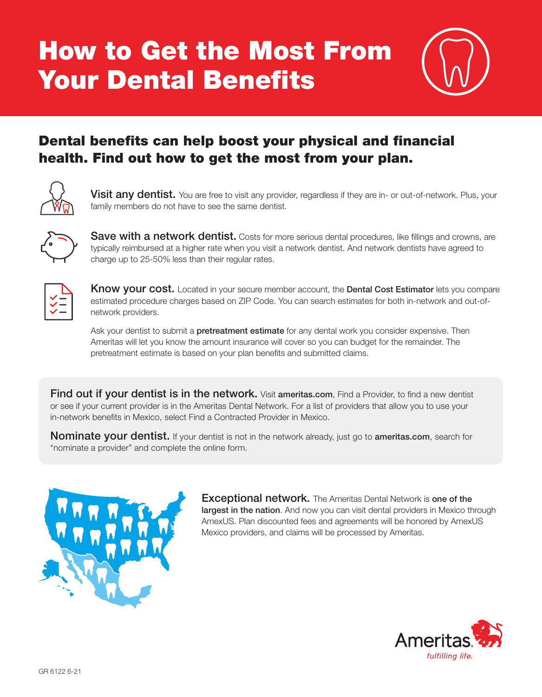# How to Get the Most From Your Dental Benefits



### Dental benefits can help boost your physical and financial health. Find out how to get the most from your plan.



**Visit any dentist.** You are free to visit any provider, regardless if they are in- or out-of-network. Plus, your family members do not have to see the same dentist.



**Save with a network dentist.** Costs for more serious dental procedures, like fillings and crowns, are typically reimbursed at a higher rate when you visit a network dentist. And network dentists have agreed to charge up to 25-50% less than their regular rates.



**Know your cost.** Located in your secure member account, the **Dental Cost Estimator** lets you compare estimated procedure charges based on ZIP Code. You can search estimates for both in-network and out-ofnetwork providers.

Ask your dentist to submit a **pretreatment estimate** for any dental work you consider expensive. Then Ameritas will let you know the amount insurance will cover so you can budget for the remainder. The pretreatment estimate is based on your plan benefits and submitted claims.

Find out if your dentist is in the network. Visit ameritas.com, Find a Provider, to find a new dentist or see if your current provider is in the Ameritas Dental Network. For a list of providers that allow you to use your in-network benefits in Mexico, select Find a Contracted Provider in Mexico.

**Nominate your dentist.** If your dentist is not in the network already, just go to **ameritas.com**, search for "nominate a provider" and complete the online form.



**Exceptional network.** The Ameritas Dental Network is one of the largest in the nation. And now you can visit dental providers in Mexico through AmexUS. Plan discounted fees and agreements will be honored by AmexUS Mexico providers, and claims will be processed by Ameritas.

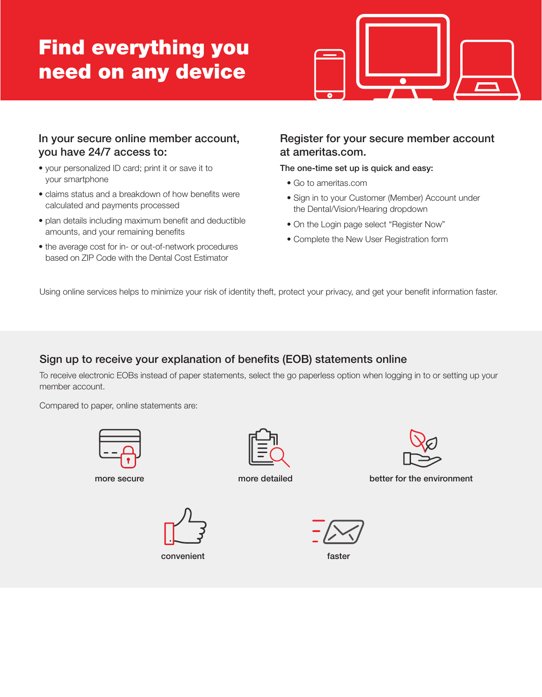## Find everything you need on any device



#### In your secure online member account, you have 24/7 access to:

- your personalized ID card; print it or save it to your smartphone
- claims status and a breakdown of how benefits were calculated and payments processed
- plan details including maximum benefit and deductible amounts, and your remaining benefits
- the average cost for in- or out-of-network procedures based on ZIP Code with the Dental Cost Estimator

#### Register for your secure member account at ameritas.com.

The one-time set up is quick and easy:

- Go to ameritas.com
- Sign in to your Customer (Member) Account under the Dental/Vision/Hearing dropdown
- On the Login page select "Register Now"
- Complete the New User Registration form

Using online services helps to minimize your risk of identity theft, protect your privacy, and get your benefit information faster.

#### Sign up to receive your explanation of benefits (EOB) statements online

To receive electronic EOBs instead of paper statements, select the go paperless option when logging in to or setting up your member account.

Compared to paper, online statements are:





more secure more detailed better for the environment



convenient faster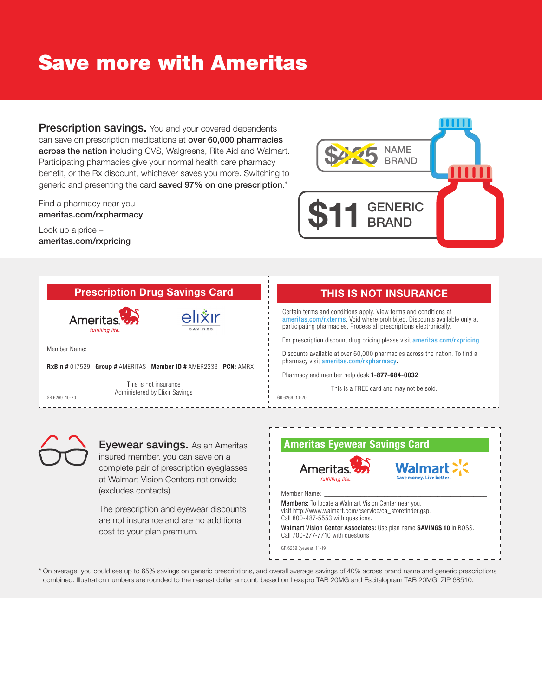## **Save more with Ameritas**

**Prescription savings.** You and your covered dependents can save on prescription medications at over 60,000 pharmacies across the nation including CVS, Walgreens, Rite Aid and Walmart. Participating pharmacies give your normal health care pharmacy benefit, or the Rx discount, whichever saves you more. Switching to generic and presenting the card saved 97% on one prescription.\*

Find a pharmacy near you ameritas.com/rxpharmacy

Look up a price ameritas.com/rxpricing



#### **Prescription Drug Savings Card**



### **THIS IS NOT INSURANCE**

Certain terms and conditions apply. View terms and conditions at ameritas.com/rxterms. Void where prohibited. Discounts available only at participating pharmacies. Process all prescriptions electronically.

For prescription discount drug pricing please visit ameritas.com/rxpricing.

Discounts available at over 60,000 pharmacies across the nation. To find a pharmacy visit ameritas.com/rxpharmacy.

Pharmacy and member help desk 1-877-684-0032

This is a FREE card and may not be sold.



Eyewear savings. As an Ameritas insured member, you can save on a complete pair of prescription eyeglasses at Walmart Vision Centers nationwide (excludes contacts).

The prescription and eyewear discounts are not insurance and are no additional cost to your plan premium.



\* On average, you could see up to 65% savings on generic prescriptions, and overall average savings of 40% across brand name and generic prescriptions combined. Illustration numbers are rounded to the nearest dollar amount, based on Lexapro TAB 20MG and Escitalopram TAB 20MG, ZIP 68510.

GR 6269 10-20